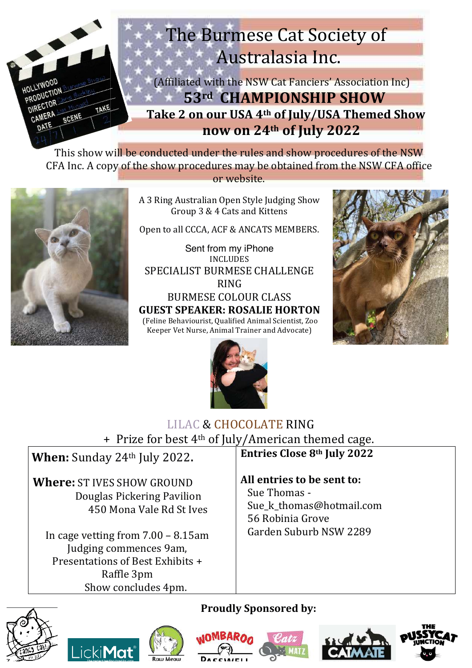

This show will be conducted under the rules and show procedures of the NSW CFA Inc. A copy of the show procedures may be obtained from the NSW CFA office or website.



A 3 Ring Australian Open Style Judging Show Group 3 & 4 Cats and Kittens

Open to all CCCA, ACF & ANCATS MEMBERS.

Sent from my iPhone **INCLUDES** SPECIALIST BURMESE CHALLENGE **RING BURMESE COLOUR CLASS GUEST SPEAKER: ROSALIE HORTON** (Feline Behaviourist, Qualified Animal Scientist, Zoo Keeper Vet Nurse, Animal Trainer and Advocate)





# **LILAC & CHOCOLATE RING**

+ Prize for best 4<sup>th</sup> of July/American themed cage.

When: Sunday 24th July 2022. Where: ST IVES SHOW GROUND

Douglas Pickering Pavilion 450 Mona Vale Rd St Ives

In cage vetting from  $7.00 - 8.15$ am Judging commences 9am. Presentations of Best Exhibits + Raffle 3pm Show concludes 4pm.

## **Entries Close 8th July 2022**

All entries to be sent to:

Sue Thomas -Sue k thomas@hotmail.com 56 Robinia Grove Garden Suburb NSW 2289

## **Proudly Sponsored by:**











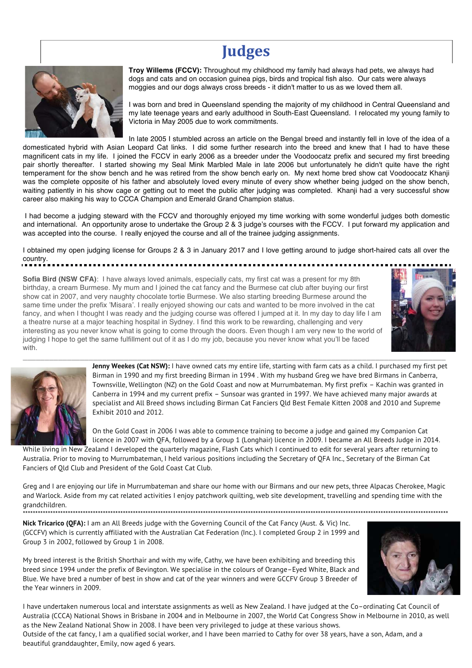# **Judges**



**Troy Willems (FCCV):** Throughout my childhood my family had always had pets, we always had dogs and cats and on occasion guinea pigs, birds and tropical fish also. Our cats were always moggies and our dogs always cross breeds - it didn't matter to us as we loved them all.

I was born and bred in Queensland spending the majority of my childhood in Central Queensland and my late teenage years and early adulthood in South-East Queensland. I relocated my young family to Victoria in May 2005 due to work commitments.

In late 2005 I stumbled across an article on the Bengal breed and instantly fell in love of the idea of a domesticated hybrid with Asian Leopard Cat links. I did some further research into the breed and knew that I had to have these magnificent cats in my life. I joined the FCCV in early 2006 as a breeder under the Voodoocatz prefix and secured my first breeding pair shortly thereafter. I started showing my Seal Mink Marbled Male in late 2006 but unfortunately he didn't quite have the right temperament for the show bench and he was retired from the show bench early on. My next home bred show cat Voodoocatz Khanji was the complete opposite of his father and absolutely loved every minute of every show whether being judged on the show bench, waiting patiently in his show cage or getting out to meet the public after judging was completed. Khanji had a very successful show career also making his way to CCCA Champion and Emerald Grand Champion status.

 I had become a judging steward with the FCCV and thoroughly enjoyed my time working with some wonderful judges both domestic and international. An opportunity arose to undertake the Group 2 & 3 judge's courses with the FCCV. I put forward my application and was accepted into the course. I really enjoyed the course and all of the trainee judging assignments.

I obtained my open judging license for Groups 2 & 3 in January 2017 and I love getting around to judge short-haired cats all over the country.

\_\_\_\_\_\_\_\_\_\_\_\_\_\_\_\_\_\_\_\_\_\_\_\_\_\_\_\_\_\_\_\_\_\_\_\_\_\_\_\_\_\_\_\_\_\_\_\_\_\_\_\_\_\_\_\_\_\_\_\_\_\_\_\_\_\_\_\_\_\_\_\_\_\_\_\_\_\_\_\_\_\_\_\_\_\_\_\_\_\_\_\_\_\_\_\_

**Sofia Bird (NSW CFA)**: I have always loved animals, especially cats, my first cat was a present for my 8th birthday, a cream Burmese. My mum and I joined the cat fancy and the Burmese cat club after buying our first show cat in 2007, and very naughty chocolate tortie Burmese. We also starting breeding Burmese around the same time under the prefix 'Misara'. I really enjoyed showing our cats and wanted to be more involved in the cat fancy, and when I thought I was ready and the judging course was offered I jumped at it. In my day to day life I am a theatre nurse at a major teaching hospital in Sydney. I find this work to be rewarding, challenging and very interesting as you never know what is going to come through the doors. Even though I am very new to the world of judging I hope to get the same fulfillment out of it as I do my job, because you never know what you'll be faced with.





Jenny Weekes (Cat NSW): I have owned cats my entire life, starting with farm cats as a child. I purchased my first pet Birman in 1990 and my first breeding Birman in 1994 . With my husband Greg we have bred Birmans in Canberra, Townsville, Wellington (NZ) on the Gold Coast and now at Murrumbateman. My first prefix – Kachin was granted in Canberra in 1994 and my current prefix – Sunsoar was granted in 1997. We have achieved many major awards at specialist and All Breed shows including Birman Cat Fanciers Qld Best Female Kitten 2008 and 2010 and Supreme Exhibit 2010 and 2012.

On the Gold Coast in 2006 I was able to commence training to become a judge and gained my Companion Cat licence in 2007 with QFA, followed by a Group 1 (Longhair) licence in 2009. I became an All Breeds Judge in 2014. While living in New Zealand I developed the quarterly magazine, Flash Cats which I continued to edit for several years after returning to

Australia. Prior to moving to Murrumbateman, I held various positions including the Secretary of QFA Inc., Secretary of the Birman Cat Fanciers of Qld Club and President of the Gold Coast Cat Club.

Greg and I are enjoying our life in Murrumbateman and share our home with our Birmans and our new pets, three Alpacas Cherokee, Magic and Warlock. Aside from my cat related activities I enjoy patchwork quilting, web site development, travelling and spending time with the grandchildren. \*\*\*\*\*\*\*\*\*\*\*\*\*\*\*\*\*\*\*\*\*\*\*\*\*\*\*\*\*\*\*\*\*\*\*\*\*\*\*\*\*\*\*\*\*\*\*\*\*\*\*\*\*\*\*\*\*\*\*\*\*\*\*\*\*\*\*\*\*\*\*\*\*\*\*\*\*\*\*\*\*\*\*\*\*\*\*\*\*\*\*\*\*\*\*\*\*\*\*\*\*\*\*\*\*\*\*\*\*\*\*\*\*\*\*\*\*\*\*\*\*\*\*\*\*\*\*\*\*\*\*\*\*\*\*\*\*\*\*\*\*\*\*\*\*\*\*\*\*\*\*\*\*\*\*\*\*\*\*\*\*\*\*\*\*\*\*\*\*\*

**Nick Tricarico (QFA):** I am an All Breeds judge with the Governing Council of the Cat Fancy (Aust. & Vic) Inc. (GCCFV) which is currently affiliated with the Australian Cat Federation (Inc.). I completed Group 2 in 1999 and Group 3 in 2002, followed by Group 1 in 2008.

My breed interest is the British Shorthair and with my wife, Cathy, we have been exhibiting and breeding this breed since 1994 under the prefix of Bevington. We specialise in the colours of Orange–Eyed White, Black and Blue. We have bred a number of best in show and cat of the year winners and were GCCFV Group 3 Breeder of the Year winners in 2009.



I have undertaken numerous local and interstate assignments as well as New Zealand. I have judged at the Co–ordinating Cat Council of Australia (CCCA) National Shows in Brisbane in 2004 and in Melbourne in 2007, the World Cat Congress Show in Melbourne in 2010, as well as the New Zealand National Show in 2008. I have been very privileged to judge at these various shows.

Outside of the cat fancy, I am a qualified social worker, and I have been married to Cathy for over 38 years, have a son, Adam, and a beautiful granddaughter, Emily, now aged 6 years.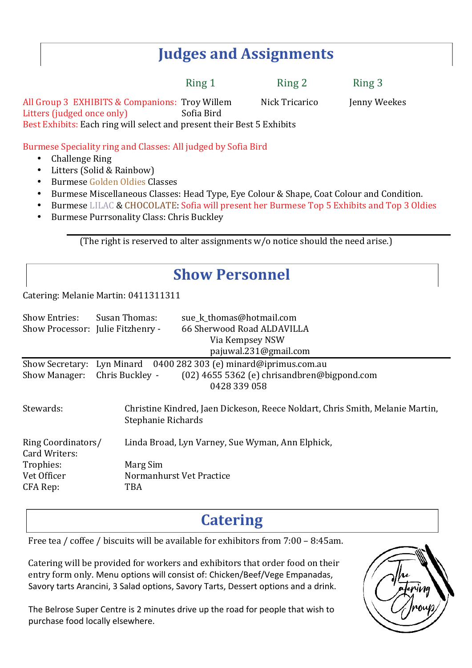# **Judges and Assignments**

Ring 1 Ring 2 Ring 3

All Group 3 EXHIBITS & Companions: Troy Willem Litters (judged once only) Sofia Bird Best Exhibits: Each ring will select and present their Best 5 Exhibits

Nick Tricarico

Jenny Weekes

Burmese Speciality ring and Classes: All judged by Sofia Bird

- **Challenge Ring**  $\bullet$
- Litters (Solid & Rainbow)  $\bullet$
- Burmese Golden Oldies Classes
- Burmese Miscellaneous Classes: Head Type, Eye Colour & Shape, Coat Colour and Condition.  $\bullet$  .
- Burmese LILAC & CHOCOLATE: Sofia will present her Burmese Top 5 Exhibits and Top 3 Oldies
- Burmese Purrsonality Class: Chris Buckley  $\bullet$

(The right is reserved to alter assignments w/o notice should the need arise.)

# **Show Personnel**

Catering: Melanie Martin: 0411311311

| <b>Show Entries:</b><br>Show Processor: Julie Fitzhenry - | Susan Thomas:<br>sue k thomas@hotmail.com<br>66 Sherwood Road ALDAVILLA<br>Via Kempsey NSW<br>pajuwal.231@gmail.com |
|-----------------------------------------------------------|---------------------------------------------------------------------------------------------------------------------|
|                                                           | Show Secretary: Lyn Minard 0400 282 303 (e) minard@iprimus.com.au                                                   |
| <b>Show Manager:</b>                                      | Chris Buckley -<br>$(02)$ 4655 5362 (e) chrisandbren@bigpond.com<br>0428 339 058                                    |
| Stewards:                                                 | Christine Kindred, Jaen Dickeson, Reece Noldart, Chris Smith, Melanie Martin,<br>Stephanie Richards                 |
| Ring Coordinators/<br>Card Writers:                       | Linda Broad, Lyn Varney, Sue Wyman, Ann Elphick,                                                                    |
| Trophies:                                                 | Marg Sim                                                                                                            |
| Vet Officer                                               | Normanhurst Vet Practice                                                                                            |
| CFA Rep:                                                  | TBA                                                                                                                 |

# **Catering**

Free tea / coffee / biscuits will be available for exhibitors from 7:00 - 8:45am.

Catering will be provided for workers and exhibitors that order food on their entry form only. Menu options will consist of: Chicken/Beef/Vege Empanadas, Savory tarts Arancini, 3 Salad options, Savory Tarts, Dessert options and a drink.

The Belrose Super Centre is 2 minutes drive up the road for people that wish to purchase food locally elsewhere.

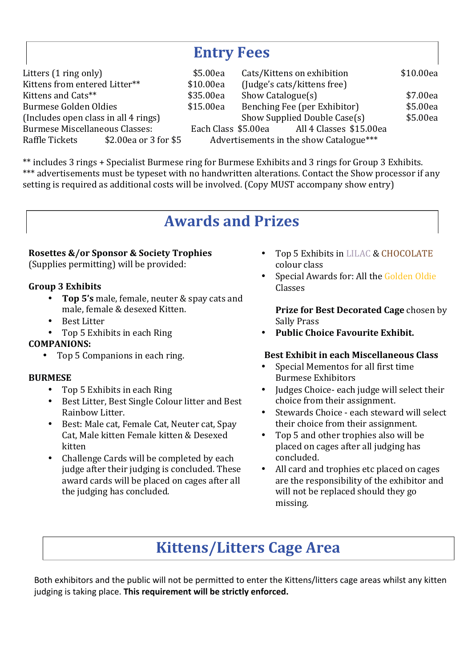# **Entry Fees**

| Litters (1 ring only)                 |                       | \$5.00ea  | Cats/Kittens on exhibition   |                                             | \$10.00ea |
|---------------------------------------|-----------------------|-----------|------------------------------|---------------------------------------------|-----------|
| Kittens from entered Litter**         |                       | \$10.00ea | (Judge's cats/kittens free)  |                                             |           |
| Kittens and Cats**                    |                       | \$35.00ea | Show Catalogue(s)            |                                             | \$7.00ea  |
| Burmese Golden Oldies                 |                       | \$15.00ea | Benching Fee (per Exhibitor) |                                             | \$5.00ea  |
| (Includes open class in all 4 rings)  |                       |           |                              | Show Supplied Double Case(s)                | \$5.00ea  |
| <b>Burmese Miscellaneous Classes:</b> |                       |           |                              | Each Class \$5.00ea All 4 Classes \$15.00ea |           |
| Raffle Tickets                        | \$2.00ea or 3 for \$5 |           |                              | Advertisements in the show Catalogue***     |           |
|                                       |                       |           |                              |                                             |           |

\*\* includes 3 rings + Specialist Burmese ring for Burmese Exhibits and 3 rings for Group 3 Exhibits. \*\*\* advertisements must be typeset with no handwritten alterations. Contact the Show processor if any setting is required as additional costs will be involved. (Copy MUST accompany show entry)

# **Awards and Prizes**

## **Rosettes &/or Sponsor & Society Trophies**

(Supplies permitting) will be provided:

## **Group 3 Exhibits**

- Top 5's male, female, neuter & spay cats and male, female & desexed Kitten.
- **Rest Litter**
- $\bullet$ Top 5 Exhibits in each Ring

## **COMPANIONS:**

• Top 5 Companions in each ring.

## **BURMESE**

- $\bullet$ Top 5 Exhibits in each Ring
- Best Litter, Best Single Colour litter and Best Rainhow Litter.
- $\bullet$ Best: Male cat, Female Cat, Neuter cat, Spay Cat, Male kitten Female kitten & Desexed kitten
- $\bullet$ Challenge Cards will be completed by each judge after their judging is concluded. These award cards will be placed on cages after all the judging has concluded.
- Top 5 Exhibits in LILAC & CHOCOLATE colour class
- Special Awards for: All the Golden Oldie Classes

Prize for Best Decorated Cage chosen by **Sally Prass** 

**Public Choice Favourite Exhibit.** 

## **Best Exhibit in each Miscellaneous Class**

- Special Mementos for all first time **Burmese Exhibitors**
- Judges Choice- each judge will select their choice from their assignment.
- $\bullet$ Stewards Choice - each steward will select their choice from their assignment.
- Top 5 and other trophies also will be placed on cages after all judging has concluded.
- All card and trophies etc placed on cages  $\bullet$ are the responsibility of the exhibitor and will not be replaced should they go missing.

# **Kittens/Litters Cage Area**

Both exhibitors and the public will not be permitted to enter the Kittens/litters cage areas whilst any kitten judging is taking place. This requirement will be strictly enforced.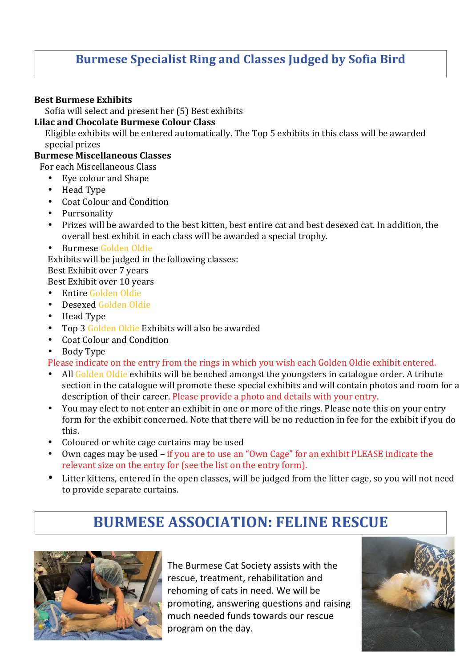## **Burmese Specialist Ring and Classes Judged by Sofia Bird**

## **Best Burmese Exhibits**

Sofia will select and present her (5) Best exhibits

## **Lilac and Chocolate Burmese Colour Class**

Eligible exhibits will be entered automatically. The Top 5 exhibits in this class will be awarded special prizes

## **Burmese Miscellaneous Classes**

For each Miscellaneous Class

- Eve colour and Shape
- Head Type
- Coat Colour and Condition
- Purrsonality
- Prizes will be awarded to the best kitten, best entire cat and best desexed cat. In addition, the overall best exhibit in each class will be awarded a special trophy.
- Burmese Golden Oldie

Exhibits will be judged in the following classes:

Best Exhibit over 7 years

Best Exhibit over 10 years

- $\bullet$ Entire Golden Oldie
- Desexed Golden Oldie  $\bullet$
- $\bullet$ Head Type
- Top 3 Golden Oldie Exhibits will also be awarded
- Coat Colour and Condition
- **Body Type**

Please indicate on the entry from the rings in which you wish each Golden Oldie exhibit entered.

- All Golden Oldie exhibits will be benched amongst the youngsters in catalogue order. A tribute section in the catalogue will promote these special exhibits and will contain photos and room for a description of their career. Please provide a photo and details with your entry.
- You may elect to not enter an exhibit in one or more of the rings. Please note this on your entry  $\bullet$ form for the exhibit concerned. Note that there will be no reduction in fee for the exhibit if you do this.
- $\bullet$ Coloured or white cage curtains may be used
- Own cages may be used if you are to use an "Own Cage" for an exhibit PLEASE indicate the  $\bullet$ relevant size on the entry for (see the list on the entry form).
- Litter kittens, entered in the open classes, will be judged from the litter cage, so you will not need  $\bullet$ to provide separate curtains.

# **BURMESE ASSOCIATION: FELINE RESCUE**



The Burmese Cat Society assists with the rescue, treatment, rehabilitation and rehoming of cats in need. We will be promoting, answering questions and raising much needed funds towards our rescue program on the day.

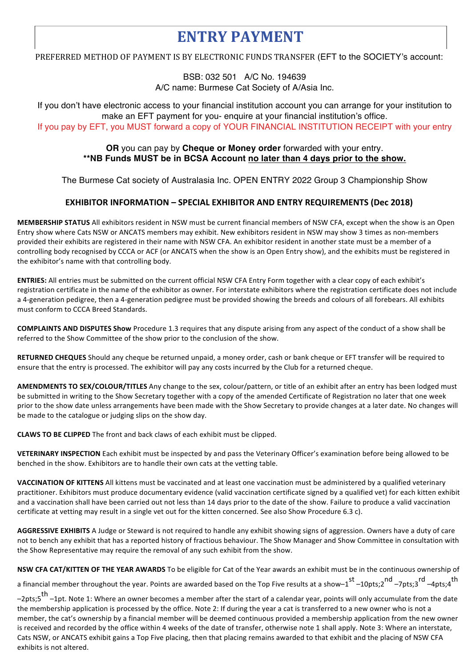# **ENTRY PAYMENT**

PREFERRED METHOD OF PAYMENT IS BY ELECTRONIC FUNDS TRANSFER (EFT to the SOCIETY's account:

BSB: 032 501 A/C No. 194639 A/C name: Burmese Cat Society of A/Asia Inc.

If you don't have electronic access to your financial institution account you can arrange for your institution to make an EFT payment for you- enquire at your financial institution's office.

If you pay by EFT, you MUST forward a copy of YOUR FINANCIAL INSTITUTION RECEIPT with your entry

### OR you can pay by Cheque or Money order forwarded with your entry. \*\*NB Funds MUST be in BCSA Account no later than 4 days prior to the show.

The Burmese Cat society of Australasia Inc. OPEN ENTRY 2022 Group 3 Championship Show

### **EXHIBITOR INFORMATION - SPECIAL EXHIBITOR AND ENTRY REQUIREMENTS (Dec 2018)**

MEMBERSHIP STATUS All exhibitors resident in NSW must be current financial members of NSW CFA, except when the show is an Open Entry show where Cats NSW or ANCATS members may exhibit. New exhibitors resident in NSW may show 3 times as non-members provided their exhibits are registered in their name with NSW CFA. An exhibitor resident in another state must be a member of a controlling body recognised by CCCA or ACF (or ANCATS when the show is an Open Entry show), and the exhibits must be registered in the exhibitor's name with that controlling body.

ENTRIES: All entries must be submitted on the current official NSW CFA Entry Form together with a clear copy of each exhibit's registration certificate in the name of the exhibitor as owner. For interstate exhibitors where the registration certificate does not include a 4-generation pedigree, then a 4-generation pedigree must be provided showing the breeds and colours of all forebears. All exhibits must conform to CCCA Breed Standards.

**COMPLAINTS AND DISPUTES Show** Procedure 1.3 requires that any dispute arising from any aspect of the conduct of a show shall be referred to the Show Committee of the show prior to the conclusion of the show.

RETURNED CHEQUES Should any cheque be returned unpaid, a money order, cash or bank cheque or EFT transfer will be required to ensure that the entry is processed. The exhibitor will pay any costs incurred by the Club for a returned cheque.

AMENDMENTS TO SEX/COLOUR/TITLES Any change to the sex, colour/pattern, or title of an exhibit after an entry has been lodged must be submitted in writing to the Show Secretary together with a copy of the amended Certificate of Registration no later that one week prior to the show date unless arrangements have been made with the Show Secretary to provide changes at a later date. No changes will be made to the catalogue or judging slips on the show day.

CLAWS TO BE CLIPPED The front and back claws of each exhibit must be clipped.

VETERINARY INSPECTION Each exhibit must be inspected by and pass the Veterinary Officer's examination before being allowed to be benched in the show. Exhibitors are to handle their own cats at the vetting table.

VACCINATION OF KITTENS All kittens must be vaccinated and at least one vaccination must be administered by a qualified veterinary practitioner. Exhibitors must produce documentary evidence (valid vaccination certificate signed by a qualified vet) for each kitten exhibit and a vaccination shall have been carried out not less than 14 days prior to the date of the show. Failure to produce a valid vaccination certificate at vetting may result in a single vet out for the kitten concerned. See also Show Procedure 6.3 c).

AGGRESSIVE EXHIBITS A Judge or Steward is not required to handle any exhibit showing signs of aggression. Owners have a duty of care not to bench any exhibit that has a reported history of fractious behaviour. The Show Manager and Show Committee in consultation with the Show Representative may require the removal of any such exhibit from the show.

NSW CFA CAT/KITTEN OF THE YEAR AWARDS To be eligible for Cat of the Year awards an exhibit must be in the continuous ownership of a financial member throughout the year. Points are awarded based on the Top Five results at a show-1st -10pts;2nd -7pts;3nd -4pts;4th

-2pts;5<sup>th</sup> -1pt. Note 1: Where an owner becomes a member after the start of a calendar year, points will only accumulate from the date the membership application is processed by the office. Note 2: If during the year a cat is transferred to a new owner who is not a member, the cat's ownership by a financial member will be deemed continuous provided a membership application from the new owner is received and recorded by the office within 4 weeks of the date of transfer, otherwise note 1 shall apply. Note 3: Where an interstate, Cats NSW, or ANCATS exhibit gains a Top Five placing, then that placing remains awarded to that exhibit and the placing of NSW CFA exhibits is not altered.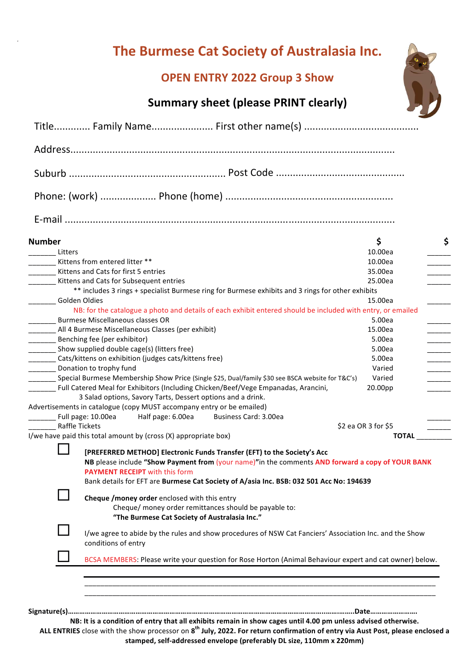# The Burmese Cat Society of Australasia Inc.<br>OPEN ENTRY 2022 Group 3 Show<br>Summary sheet (please PRINT clearly)

## **OPEN ENTRY 2022 Group 3 Show**



| <b>Number</b>                                                                                    |                                                                                                                                                                                                                                                                                                                 | \$                  |
|--------------------------------------------------------------------------------------------------|-----------------------------------------------------------------------------------------------------------------------------------------------------------------------------------------------------------------------------------------------------------------------------------------------------------------|---------------------|
| Litters                                                                                          |                                                                                                                                                                                                                                                                                                                 | 10.00ea             |
|                                                                                                  | Kittens from entered litter **                                                                                                                                                                                                                                                                                  | 10.00ea             |
|                                                                                                  | Kittens and Cats for first 5 entries                                                                                                                                                                                                                                                                            | 35.00ea             |
|                                                                                                  | Kittens and Cats for Subsequent entries                                                                                                                                                                                                                                                                         | 25.00ea             |
|                                                                                                  | ** includes 3 rings + specialist Burmese ring for Burmese exhibits and 3 rings for other exhibits                                                                                                                                                                                                               |                     |
| Golden Oldies                                                                                    |                                                                                                                                                                                                                                                                                                                 | 15.00ea             |
|                                                                                                  | NB: for the catalogue a photo and details of each exhibit entered should be included with entry, or emailed                                                                                                                                                                                                     |                     |
|                                                                                                  | Burmese Miscellaneous classes OR                                                                                                                                                                                                                                                                                | 5.00ea              |
|                                                                                                  | All 4 Burmese Miscellaneous Classes (per exhibit)                                                                                                                                                                                                                                                               | 15.00ea             |
|                                                                                                  | Benching fee (per exhibitor)                                                                                                                                                                                                                                                                                    | 5.00ea              |
|                                                                                                  | Show supplied double cage(s) (litters free)                                                                                                                                                                                                                                                                     | 5.00ea              |
| Cats/kittens on exhibition (judges cats/kittens free)                                            |                                                                                                                                                                                                                                                                                                                 | 5.00ea              |
|                                                                                                  | _________ Donation to trophy fund                                                                                                                                                                                                                                                                               | Varied              |
| Special Burmese Membership Show Price (Single \$25, Dual/family \$30 see BSCA website for T&C's) |                                                                                                                                                                                                                                                                                                                 | Varied              |
|                                                                                                  | Full Catered Meal for Exhibitors (Including Chicken/Beef/Vege Empanadas, Arancini,                                                                                                                                                                                                                              | 20.00pp             |
|                                                                                                  | 3 Salad options, Savory Tarts, Dessert options and a drink.<br>Advertisements in catalogue (copy MUST accompany entry or be emailed)                                                                                                                                                                            |                     |
|                                                                                                  | Business Card: 3.00ea<br>Full page: 10.00ea<br>Half page: 6.00ea                                                                                                                                                                                                                                                |                     |
| <b>Raffle Tickets</b>                                                                            |                                                                                                                                                                                                                                                                                                                 | \$2 ea OR 3 for \$5 |
|                                                                                                  | I/we have paid this total amount by (cross (X) appropriate box)                                                                                                                                                                                                                                                 | <b>TOTAL</b>        |
|                                                                                                  |                                                                                                                                                                                                                                                                                                                 |                     |
|                                                                                                  | [PREFERRED METHOD] Electronic Funds Transfer (EFT) to the Society's Acc<br>NB please include "Show Payment from (your name)"in the comments AND forward a copy of YOUR BANK<br><b>PAYMENT RECEIPT</b> with this form<br>Bank details for EFT are Burmese Cat Society of A/asia Inc. BSB: 032 501 Acc No: 194639 |                     |
|                                                                                                  | Cheque /money order enclosed with this entry<br>Cheque/ money order remittances should be payable to:<br>"The Burmese Cat Society of Australasia Inc."                                                                                                                                                          |                     |
|                                                                                                  | I/we agree to abide by the rules and show procedures of NSW Cat Fanciers' Association Inc. and the Show<br>conditions of entry                                                                                                                                                                                  |                     |
|                                                                                                  |                                                                                                                                                                                                                                                                                                                 |                     |

NB: It is a condition of entry that all exhibits remain in show cages until 4.00 pm unless advised otherwise. **ALL ENTRIES** close with the show processor on 8<sup>th</sup> July, 2022. For return confirmation of entry via Aust Post, please enclosed a stamped, self-addressed envelope (preferably DL size, 110mm x 220mm)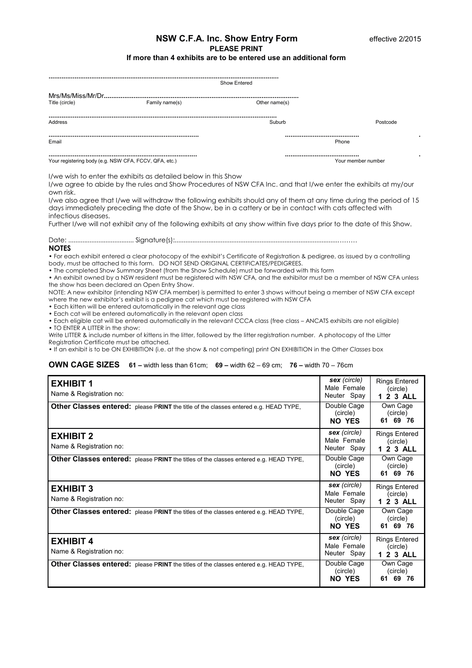#### **NSW C.F.A. Inc. Show Entry Form 
<b>Example 2:2015 PLEASE PRINT If more than 4 exhibits are to be entered use an additional form**

| Show Entered                                          |                |               |                    |  |  |  |
|-------------------------------------------------------|----------------|---------------|--------------------|--|--|--|
| Title (circle)                                        | Family name(s) | Other name(s) |                    |  |  |  |
| Address                                               |                | Suburb        | Postcode           |  |  |  |
| Email                                                 |                | Phone         | ۰                  |  |  |  |
| Your registering body (e.g. NSW CFA, FCCV, QFA, etc.) |                |               | Your member number |  |  |  |

I/we wish to enter the exhibits as detailed below in this Show

I/we agree to abide by the rules and Show Procedures of NSW CFA Inc. and that I/we enter the exhibits at my/our own risk.

I/we also agree that I/we will withdraw the following exhibits should any of them at any time during the period of 15 days immediately preceding the date of the Show, be in a cattery or be in contact with cats affected with infectious diseases.

Further I/we will not exhibit any of the following exhibits at any show within five days prior to the date of this Show.

Date: ..................................... Signature(s):............................................................................................……… **NOTES** 

• For each exhibit entered a clear photocopy of the exhibit's Certificate of Registration & pedigree, as issued by a controlling body, must be attached to this form. DO NOT SEND ORIGINAL CERTIFICATES/PEDIGREES.

• The completed Show Summary Sheet (from the Show Schedule) must be forwarded with this form

• An exhibit owned by a NSW resident must be registered with NSW CFA, and the exhibitor must be a member of NSW CFA unless the show has been declared an Open Entry Show.

NOTE: A new exhibitor (intending NSW CFA member) is permitted to enter 3 shows without being a member of NSW CFA except where the new exhibitor's exhibit is a pedigree cat which must be registered with NSW CFA

• Each kitten will be entered automatically in the relevant age class

• Each cat will be entered automatically in the relevant open class

• Each eligible cat will be entered automatically in the relevant CCCA class (free class – ANCATS exhibits are not eligible) • TO ENTER A LITTER in the show:

Write LITTER & include number of kittens in the litter, followed by the litter registration number. A photocopy of the Litter Registration Certificate must be attached.

• If an exhibit is to be ON EXHIBITION (i.e. at the show & not competing) print ON EXHIBITION in the O*ther Classes* box

#### **OWN CAGE SIZES 61 –** width less than 61cm; **69 –** width 62 – 69 cm; **76 –** width 70 – 76cm

| <b>EXHIBIT 1</b><br>Name & Registration no:<br>Other Classes entered: please PRINT the title of the classes entered e.g. HEAD TYPE,         | sex (circle)<br>Male Female<br>Neuter Spay<br>Double Cage<br>(circle)<br>NO YES | <b>Rings Entered</b><br>(circle)<br>1 2 3 ALL<br>Own Cage<br>(circle)<br>61 69 76 |
|---------------------------------------------------------------------------------------------------------------------------------------------|---------------------------------------------------------------------------------|-----------------------------------------------------------------------------------|
| <b>EXHIBIT 2</b><br>Name & Registration no:<br><b>Other Classes entered:</b> please PRINT the titles of the classes entered e.g. HEAD TYPE, | sex (circle)<br>Male Female<br>Neuter Spay<br>Double Cage<br>(circle)<br>NO YES | <b>Rings Entered</b><br>(circle)<br>1 2 3 ALL<br>Own Cage<br>(circle)<br>61 69 76 |
| <b>EXHIBIT 3</b><br>Name & Registration no:<br>Other Classes entered: please PRINT the titles of the classes entered e.g. HEAD TYPE,        | sex (circle)<br>Male Female<br>Neuter Spay<br>Double Cage<br>(circle)           | <b>Rings Entered</b><br>(circle)<br>1 2 3 ALL<br>Own Cage<br>(circle)             |
| <b>EXHIBIT 4</b><br>Name & Registration no:                                                                                                 | NO YES<br>sex (circle)<br>Male Female<br>Neuter Spay                            | 61 69 76<br><b>Rings Entered</b><br>(circle)<br>1 2 3 ALL                         |
| <b>Other Classes entered:</b> please PRINT the titles of the classes entered e.g. HEAD TYPE,                                                | Double Cage<br>(circle)<br>NO YES                                               | Own Cage<br>(circle)<br>61 69 76                                                  |